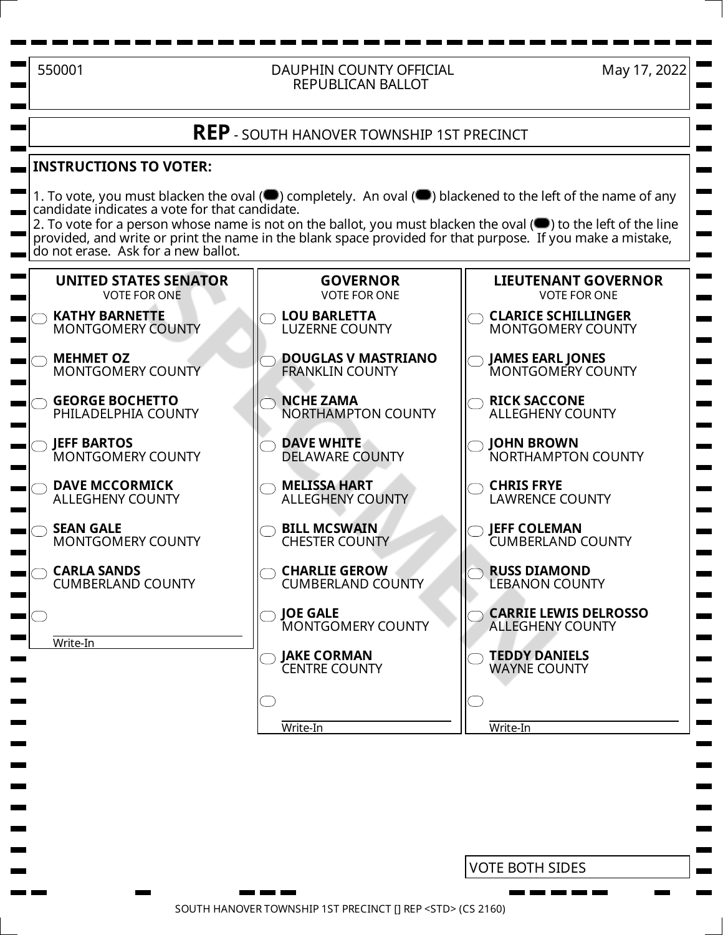## 550001 DAUPHIN COUNTY OFFICIAL REPUBLICAN BALLOT

May 17, 2022

## **REP** - SOUTH HANOVER TOWNSHIP 1ST PRECINCT

## **INSTRUCTIONS TO VOTER:**

1. To vote, you must blacken the oval (●) completely. An oval (●) blackened to the left of the name of any candidate indicates a vote for that candidate.

2. To vote for a person whose name is not on the ballot, you must blacken the oval  $($   $\bullet)$  to the left of the line provided, and write or print the name in the blank space provided for that purpose. If you make a mistake, do not erase. Ask for a new ballot.



VOTE BOTH SIDES